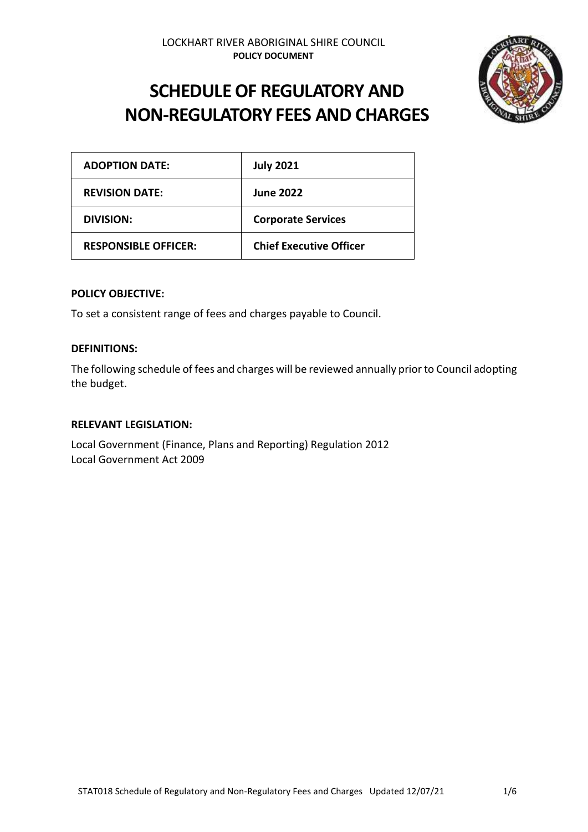

# **SCHEDULE OF REGULATORY AND NON-REGULATORY FEES AND CHARGES**

| <b>ADOPTION DATE:</b>       | <b>July 2021</b>               |
|-----------------------------|--------------------------------|
| <b>REVISION DATE:</b>       | <b>June 2022</b>               |
| DIVISION:                   | <b>Corporate Services</b>      |
| <b>RESPONSIBLE OFFICER:</b> | <b>Chief Executive Officer</b> |

#### **POLICY OBJECTIVE:**

To set a consistent range of fees and charges payable to Council.

#### **DEFINITIONS:**

The following schedule of fees and charges will be reviewed annually prior to Council adopting the budget.

#### **RELEVANT LEGISLATION:**

Local Government (Finance, Plans and Reporting) Regulation 2012 Local Government Act 2009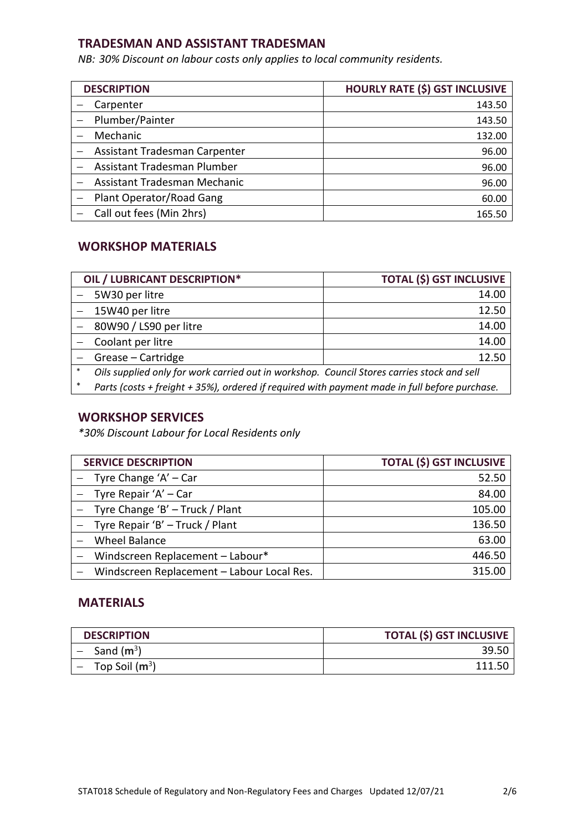#### **TRADESMAN AND ASSISTANT TRADESMAN**

*NB: 30% Discount on labour costs only applies to local community residents.* 

| <b>DESCRIPTION</b>            | <b>HOURLY RATE (\$) GST INCLUSIVE</b> |  |
|-------------------------------|---------------------------------------|--|
| Carpenter                     | 143.50                                |  |
| Plumber/Painter               | 143.50                                |  |
| Mechanic                      | 132.00                                |  |
| Assistant Tradesman Carpenter | 96.00                                 |  |
| Assistant Tradesman Plumber   | 96.00                                 |  |
| Assistant Tradesman Mechanic  | 96.00                                 |  |
| Plant Operator/Road Gang      | 60.00                                 |  |
| Call out fees (Min 2hrs)      | 165.50                                |  |

## **WORKSHOP MATERIALS**

|        | OIL / LUBRICANT DESCRIPTION*                                                                  | <b>TOTAL (\$) GST INCLUSIVE</b> |
|--------|-----------------------------------------------------------------------------------------------|---------------------------------|
|        | 5W30 per litre                                                                                | 14.00                           |
|        | 15W40 per litre                                                                               | 12.50                           |
|        | 80W90 / LS90 per litre                                                                        | 14.00                           |
|        | Coolant per litre                                                                             | 14.00                           |
|        | Grease - Cartridge                                                                            | 12.50                           |
| $*$    | Oils supplied only for work carried out in workshop. Council Stores carries stock and sell    |                                 |
| $\ast$ | Parts (costs + freight + 35%), ordered if required with payment made in full before purchase. |                                 |

#### **WORKSHOP SERVICES**

*\*30% Discount Labour for Local Residents only* 

| <b>SERVICE DESCRIPTION</b>                 | <b>TOTAL (\$) GST INCLUSIVE</b> |
|--------------------------------------------|---------------------------------|
| $-$ Tyre Change 'A' $-$ Car                | 52.50                           |
| $-$ Tyre Repair 'A' $-$ Car                | 84.00                           |
| - Tyre Change 'B' - Truck / Plant          | 105.00                          |
| - Tyre Repair 'B' - Truck / Plant          | 136.50                          |
| <b>Wheel Balance</b>                       | 63.00                           |
| Windscreen Replacement - Labour*           | 446.50                          |
| Windscreen Replacement - Labour Local Res. | 315.00                          |

#### **MATERIALS**

| <b>DESCRIPTION</b>             | <b>TOTAL (\$) GST INCLUSIVE</b> |
|--------------------------------|---------------------------------|
| $-$ Sand (m <sup>3</sup> )     | -39.5C                          |
| $-$ Top Soil (m <sup>3</sup> ) | 111.50                          |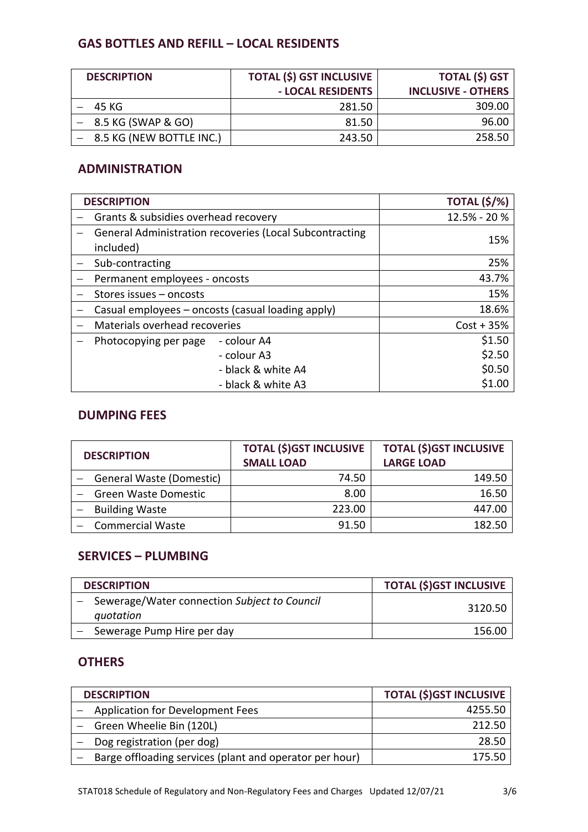## **GAS BOTTLES AND REFILL – LOCAL RESIDENTS**

| <b>DESCRIPTION</b>           | <b>TOTAL (\$) GST INCLUSIVE</b> | <b>TOTAL (\$) GST</b>     |
|------------------------------|---------------------------------|---------------------------|
|                              | - LOCAL RESIDENTS               | <b>INCLUSIVE - OTHERS</b> |
| 45 KG                        | 281.50                          | 309.00                    |
| $-$ 8.5 KG (SWAP & GO)       | 81.50                           | 96.00                     |
| $-$ 8.5 KG (NEW BOTTLE INC.) | 243.50                          | 258.50                    |

## **ADMINISTRATION**

| <b>DESCRIPTION</b>                   |                                                                | <b>TOTAL (\$/%)</b> |
|--------------------------------------|----------------------------------------------------------------|---------------------|
| Grants & subsidies overhead recovery |                                                                | 12.5% - 20%         |
| included)                            | <b>General Administration recoveries (Local Subcontracting</b> | 15%                 |
| Sub-contracting                      |                                                                | 25%                 |
| Permanent employees - oncosts        |                                                                | 43.7%               |
| Stores issues – oncosts              |                                                                | 15%                 |
|                                      | Casual employees – oncosts (casual loading apply)              | 18.6%               |
| Materials overhead recoveries        |                                                                | $Cost + 35%$        |
| Photocopying per page                | - colour A4                                                    | \$1.50              |
|                                      | - colour A3                                                    | \$2.50              |
|                                      | - black & white A4                                             | \$0.50              |
|                                      | - black & white A3                                             | \$1.00              |

## **DUMPING FEES**

| <b>DESCRIPTION</b>       | <b>TOTAL (\$)GST INCLUSIVE</b><br><b>SMALL LOAD</b> | <b>TOTAL (\$)GST INCLUSIVE</b><br><b>LARGE LOAD</b> |
|--------------------------|-----------------------------------------------------|-----------------------------------------------------|
| General Waste (Domestic) | 74.50                                               | 149.50                                              |
| Green Waste Domestic     | 8.00                                                | 16.50                                               |
| <b>Building Waste</b>    | 223.00                                              | 447.00                                              |
| <b>Commercial Waste</b>  | 91.50                                               | 182.50                                              |

## **SERVICES – PLUMBING**

| <b>DESCRIPTION</b>                                          | <b>TOTAL (\$)GST INCLUSIVE</b> |
|-------------------------------------------------------------|--------------------------------|
| - Sewerage/Water connection Subject to Council<br>quotation | 3120.50                        |
| Sewerage Pump Hire per day                                  | 156.00                         |

## **OTHERS**

| <b>DESCRIPTION</b>                                      | <b>TOTAL (\$)GST INCLUSIVE</b> |
|---------------------------------------------------------|--------------------------------|
| <b>Application for Development Fees</b>                 | 4255.50                        |
| Green Wheelie Bin (120L)                                | 212.50                         |
| Dog registration (per dog)                              | 28.50                          |
| Barge offloading services (plant and operator per hour) | 175.50                         |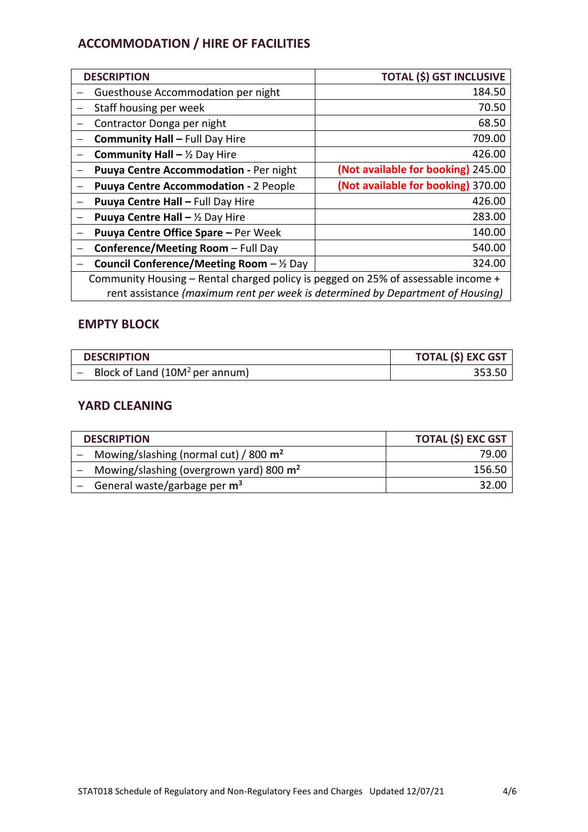# **ACCOMMODATION / HIRE OF FACILITIES**

| <b>DESCRIPTION</b>                                                                | <b>TOTAL (\$) GST INCLUSIVE</b>    |
|-----------------------------------------------------------------------------------|------------------------------------|
| Guesthouse Accommodation per night                                                | 184.50                             |
| Staff housing per week                                                            | 70.50                              |
| Contractor Donga per night                                                        | 68.50                              |
| <b>Community Hall - Full Day Hire</b>                                             | 709.00                             |
| <b>Community Hall - </b> $\frac{1}{2}$ Day Hire                                   | 426.00                             |
| Puuya Centre Accommodation - Per night                                            | (Not available for booking) 245.00 |
| <b>Puuya Centre Accommodation - 2 People</b>                                      | (Not available for booking) 370.00 |
| Puuya Centre Hall - Full Day Hire                                                 | 426.00                             |
| <b>Puuya Centre Hall - </b> $\frac{1}{2}$ Day Hire                                | 283.00                             |
| <b>Puuya Centre Office Spare - Per Week</b>                                       | 140.00                             |
| Conference/Meeting Room - Full Day                                                | 540.00                             |
| <b>Council Conference/Meeting Room</b> $-\frac{1}{2}$ Day                         | 324.00                             |
| Community Housing – Rental charged policy is pegged on 25% of assessable income + |                                    |
| rent assistance (maximum rent per week is determined by Department of Housing)    |                                    |

## **EMPTY BLOCK**

| <b>DESCRIPTION</b>                  | <b>TOTAL (\$) EXC GST</b> |
|-------------------------------------|---------------------------|
| - Block of Land $(10M^2$ per annum) | 353.50                    |

## **YARD CLEANING**

| <b>DESCRIPTION</b>                          | <b>TOTAL (\$) EXC GST</b> |
|---------------------------------------------|---------------------------|
| - Mowing/slashing (normal cut) / 800 $m2$   | 79.00                     |
| - Mowing/slashing (overgrown yard) 800 $m2$ | 156.50                    |
| - General waste/garbage per $m3$            | -32.0C                    |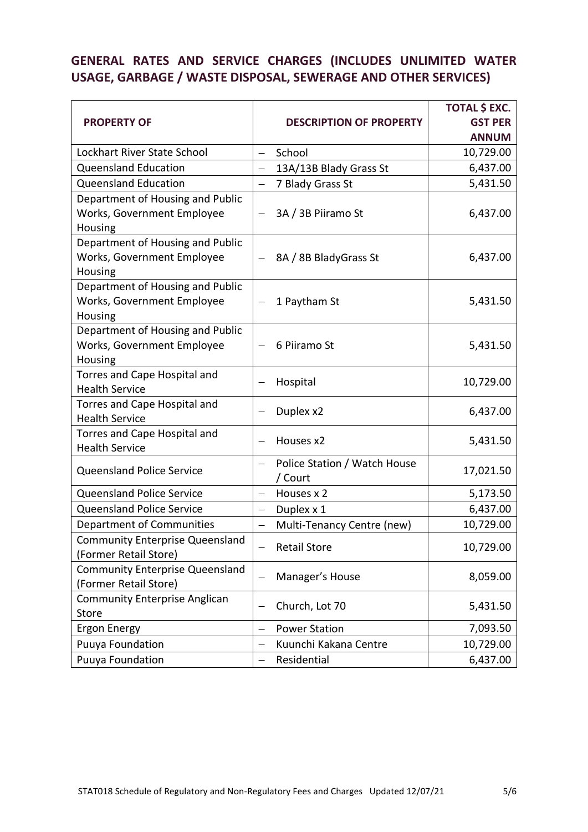# **GENERAL RATES AND SERVICE CHARGES (INCLUDES UNLIMITED WATER USAGE, GARBAGE / WASTE DISPOSAL, SEWERAGE AND OTHER SERVICES)**

|                                         | <b>DESCRIPTION OF PROPERTY</b>                           |                            | <b>TOTAL \$ EXC.</b> |
|-----------------------------------------|----------------------------------------------------------|----------------------------|----------------------|
| <b>PROPERTY OF</b>                      |                                                          |                            | <b>GST PER</b>       |
|                                         |                                                          |                            | <b>ANNUM</b>         |
| Lockhart River State School             | $\qquad \qquad -$                                        | School                     | 10,729.00            |
| <b>Queensland Education</b>             | $\qquad \qquad -$                                        | 13A/13B Blady Grass St     | 6,437.00             |
| <b>Queensland Education</b>             | $\overline{\phantom{0}}$                                 | 7 Blady Grass St           | 5,431.50             |
| Department of Housing and Public        |                                                          |                            |                      |
| Works, Government Employee              |                                                          | 3A / 3B Piiramo St         | 6,437.00             |
| Housing                                 |                                                          |                            |                      |
| Department of Housing and Public        |                                                          |                            |                      |
| Works, Government Employee              |                                                          | 8A / 8B BladyGrass St      | 6,437.00             |
| Housing                                 |                                                          |                            |                      |
| Department of Housing and Public        |                                                          |                            |                      |
| Works, Government Employee              |                                                          | 1 Paytham St               | 5,431.50             |
| Housing                                 |                                                          |                            |                      |
| Department of Housing and Public        |                                                          |                            |                      |
| Works, Government Employee              | $\qquad \qquad -$                                        | 6 Piiramo St               | 5,431.50             |
| Housing<br>Torres and Cape Hospital and |                                                          |                            |                      |
| <b>Health Service</b>                   |                                                          | Hospital                   | 10,729.00            |
| Torres and Cape Hospital and            |                                                          |                            |                      |
| <b>Health Service</b>                   |                                                          | Duplex x2                  | 6,437.00             |
| Torres and Cape Hospital and            | Houses x2<br>$\qquad \qquad -$                           |                            | 5,431.50             |
| <b>Health Service</b>                   |                                                          |                            |                      |
|                                         | Police Station / Watch House<br>$\overline{\phantom{m}}$ |                            |                      |
| Queensland Police Service               |                                                          | / Court                    | 17,021.50            |
| Queensland Police Service               | $\equiv$                                                 | Houses x 2                 | 5,173.50             |
| <b>Queensland Police Service</b>        | $\qquad \qquad -$                                        | Duplex x 1                 | 6,437.00             |
| Department of Communities               | $\equiv$                                                 | Multi-Tenancy Centre (new) | 10,729.00            |
| <b>Community Enterprise Queensland</b>  |                                                          |                            | 10,729.00            |
| (Former Retail Store)                   | <b>Retail Store</b>                                      |                            |                      |
| <b>Community Enterprise Queensland</b>  | Manager's House<br>$\qquad \qquad -$                     |                            | 8,059.00             |
| (Former Retail Store)                   |                                                          |                            |                      |
| <b>Community Enterprise Anglican</b>    | Church, Lot 70                                           |                            | 5,431.50             |
| Store                                   |                                                          |                            |                      |
| <b>Ergon Energy</b>                     | $\qquad \qquad -$                                        | <b>Power Station</b>       | 7,093.50             |
| Puuya Foundation                        | $\qquad \qquad -$                                        | Kuunchi Kakana Centre      | 10,729.00            |
| Puuya Foundation                        |                                                          | Residential                | 6,437.00             |